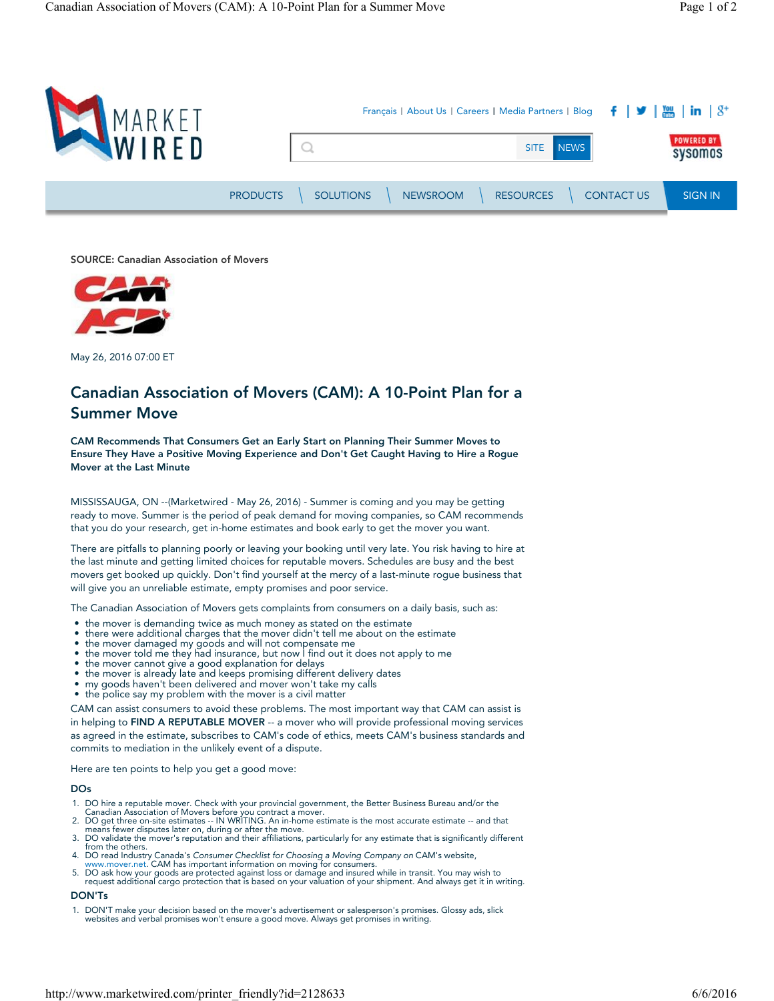

SOURCE: Canadian Association of Movers



May 26, 2016 07:00 ET

# Canadian Association of Movers (CAM): A 10-Point Plan for a Summer Move

CAM Recommends That Consumers Get an Early Start on Planning Their Summer Moves to Ensure They Have a Positive Moving Experience and Don't Get Caught Having to Hire a Rogue Mover at the Last Minute

MISSISSAUGA, ON --(Marketwired - May 26, 2016) - Summer is coming and you may be getting ready to move. Summer is the period of peak demand for moving companies, so CAM recommends that you do your research, get in-home estimates and book early to get the mover you want.

There are pitfalls to planning poorly or leaving your booking until very late. You risk having to hire at the last minute and getting limited choices for reputable movers. Schedules are busy and the best movers get booked up quickly. Don't find yourself at the mercy of a last-minute rogue business that will give you an unreliable estimate, empty promises and poor service.

The Canadian Association of Movers gets complaints from consumers on a daily basis, such as:

- the mover is demanding twice as much money as stated on the estimate
- there were additional charges that the mover didn't tell me about on the estimate
- the mover damaged my goods and will not compensate me
- the mover told me they had insurance, but now I find out it does not apply to me
- the mover cannot give a good explanation for delays the mover is already late and keeps promising different delivery dates
- 
- my goods haven't been delivered and mover won't take my calls
- the police say my problem with the mover is a civil matter

CAM can assist consumers to avoid these problems. The most important way that CAM can assist is in helping to FIND A REPUTABLE MOVER -- a mover who will provide professional moving services as agreed in the estimate, subscribes to CAM's code of ethics, meets CAM's business standards and commits to mediation in the unlikely event of a dispute.

Here are ten points to help you get a good move:

#### DOs

- 1. DO hire a reputable mover. Check with your provincial government, the Better Business Bureau and/or the
- Canadian Association of Movers before you contract a mover.<br>2. DO get three on-site estimates -- IN WRITING. An in-home estimate is the most accurate estimate -- and that<br>means fewer disputes later on, during or after the
- 
- 4. DO read Industry Canada's Consumer Checklist for Choosing a Moving Company on CAM's website, www.mover.net. CAM has important information on moving for consumers.
- 
- 5. DO ask how your goods are protected against loss or damage and insured while in transit. You may wish to request additional cargo protection that is based on your valuation of your shipment. And always get it in writing.

#### DON'Ts

1. DON'T make your decision based on the mover's advertisement or salesperson's promises. Glossy ads, slick websites and verbal promises won't ensure a good move. Always get promises in writing.